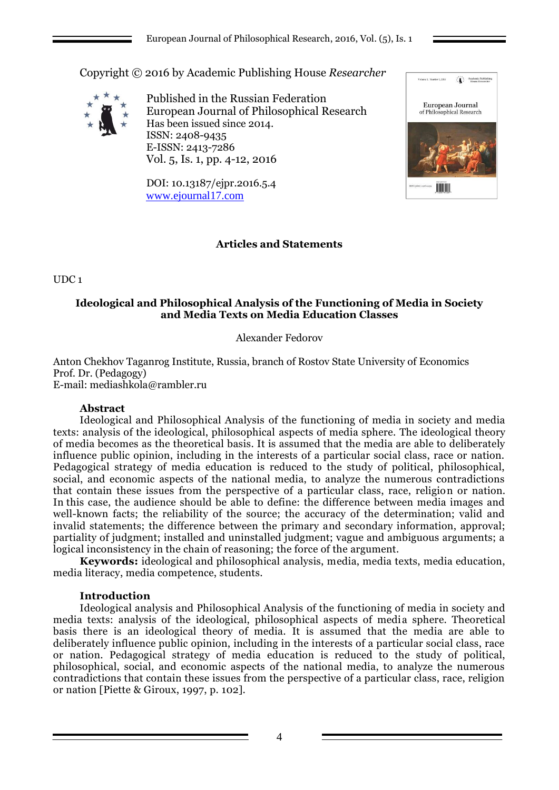Copyright © 2016 by Academic Publishing House *Researcher*



Published in the Russian Federation European Journal of Philosophical Research Has been issued since 2014. ISSN: 2408-9435 E-ISSN: 2413-7286 Vol. 5, Is. 1, pp. 4-12, 2016

DOI: 10.13187/ejpr.2016.5.4 [www.ejournal17.com](http://www.ejournal17.com/)



# **Articles and Statements**

UDC 1

# **Ideological and Philosophical Analysis of the Functioning of Media in Society and Media Texts on Media Education Classes**

# Alexander Fedorov

Anton Chekhov Taganrog Institute, Russia, branch of Rostov State University of Economics Prof. Dr. (Pedagogy) E-mail[: mediashkola@rambler.ru](mailto:mediashkola@rambler.ru)

### **Abstract**

Ideological and Philosophical Analysis of the functioning of media in society and media texts: analysis of the ideological, philosophical aspects of media sphere. The ideological theory of media becomes as the theoretical basis. It is assumed that the media are able to deliberately influence public opinion, including in the interests of a particular social class, race or nation. Pedagogical strategy of media education is reduced to the study of political, philosophical, social, and economic aspects of the national media, to analyze the numerous contradictions that contain these issues from the perspective of a particular class, race, religion or nation. In this case, the audience should be able to define: the difference between media images and well-known facts; the reliability of the source; the accuracy of the determination; valid and invalid statements; the difference between the primary and secondary information, approval; partiality of judgment; installed and uninstalled judgment; vague and ambiguous arguments; a logical inconsistency in the chain of reasoning; the force of the argument.

**Keywords:** ideological and philosophical analysis, media, media texts, media education, media literacy, media competence, students.

### **Introduction**

Ideological analysis and Philosophical Analysis of the functioning of media in society and media texts: analysis of the ideological, philosophical aspects of media sphere. Theoretical basis there is an ideological theory of media. It is assumed that the media are able to deliberately influence public opinion, including in the interests of a particular social class, race or nation. Pedagogical strategy of media education is reduced to the study of political, philosophical, social, and economic aspects of the national media, to analyze the numerous contradictions that contain these issues from the perspective of a particular class, race, religion or nation [Piette & Giroux, 1997, p. 102].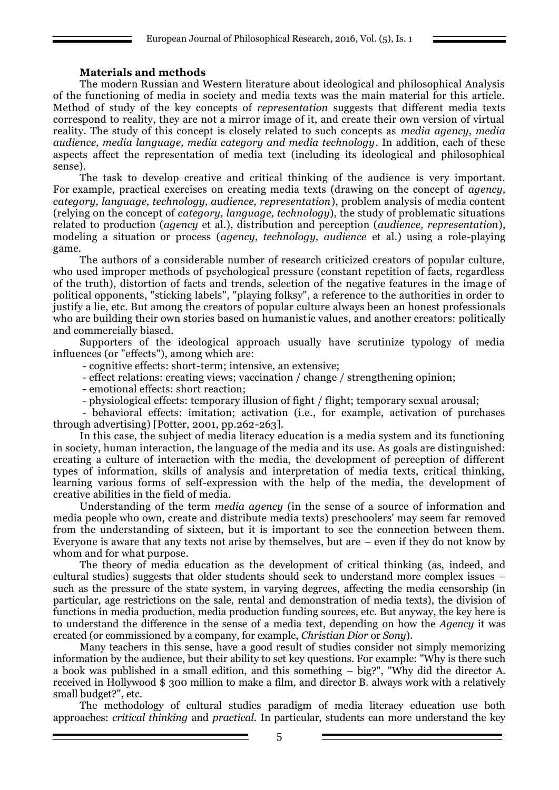## **Materials and methods**

The modern Russian and Western literature about ideological and philosophical Analysis of the functioning of media in society and media texts was the main material for this article. Method of study of the key concepts of *representation* suggests that different media texts correspond to reality, they are not a mirror image of it, and create their own version of virtual reality. The study of this concept is closely related to such concepts as *media agency, media audience, media language, media category and media technology*. In addition, each of these aspects affect the representation of media text (including its ideological and philosophical sense).

The task to develop creative and critical thinking of the audience is very important. For example, practical exercises on creating media texts (drawing on the concept of *agency, category, language, technology, audience, representation*), problem analysis of media content (relying on the concept of *category, language, technology*), the study of problematic situations related to production (*agency* et al.), distribution and perception (*audience, representation*), modeling a situation or process (*agency, technology, audience* et al.) using a role-playing game.

The authors of a considerable number of research criticized creators of popular culture, who used improper methods of psychological pressure (constant repetition of facts, regardless of the truth), distortion of facts and trends, selection of the negative features in the image of political opponents, "sticking labels", "playing folksy", a reference to the authorities in order to justify a lie, etc. But among the creators of popular culture always been an honest professionals who are building their own stories based on humanistic values, and another creators: politically and commercially biased.

Supporters of the ideological approach usually have scrutinize typology of media influences (or "effects"), among which are:

- cognitive effects: short-term; intensive, an extensive;

- effect relations: creating views; vaccination / change / strengthening opinion;

- emotional effects: short reaction;

- physiological effects: temporary illusion of fight / flight; temporary sexual arousal;

- behavioral effects: imitation; activation (i.e., for example, activation of purchases through advertising) [Potter, 2001, pp.262-263].

In this case, the subject of media literacy education is a media system and its functioning in society, human interaction, the language of the media and its use. As goals are distinguished: creating a culture of interaction with the media, the development of perception of different types of information, skills of analysis and interpretation of media texts, critical thinking, learning various forms of self-expression with the help of the media, the development of creative abilities in the field of media.

Understanding of the term *media agency* (in the sense of a source of information and media people who own, create and distribute media texts) preschoolers' may seem far removed from the understanding of sixteen, but it is important to see the connection between them. Everyone is aware that any texts not arise by themselves, but are – even if they do not know by whom and for what purpose.

The theory of media education as the development of critical thinking (as, indeed, and cultural studies) suggests that older students should seek to understand more complex issues – such as the pressure of the state system, in varying degrees, affecting the media censorship (in particular, age restrictions on the sale, rental and demonstration of media texts), the division of functions in media production, media production funding sources, etc. But anyway, the key here is to understand the difference in the sense of a media text, depending on how the *Agency* it was created (or commissioned by a company, for example, *Christian Dior* or *Sony*).

Many teachers in this sense, have a good result of studies consider not simply memorizing information by the audience, but their ability to set key questions. For example: "Why is there such a book was published in a small edition, and this something – big?", "Why did the director A. received in Hollywood \$ 300 million to make a film, and director B. always work with a relatively small budget?", etc.

The methodology of cultural studies paradigm of media literacy education use both approaches: *critical thinking* and *practical*. In particular, students can more understand the key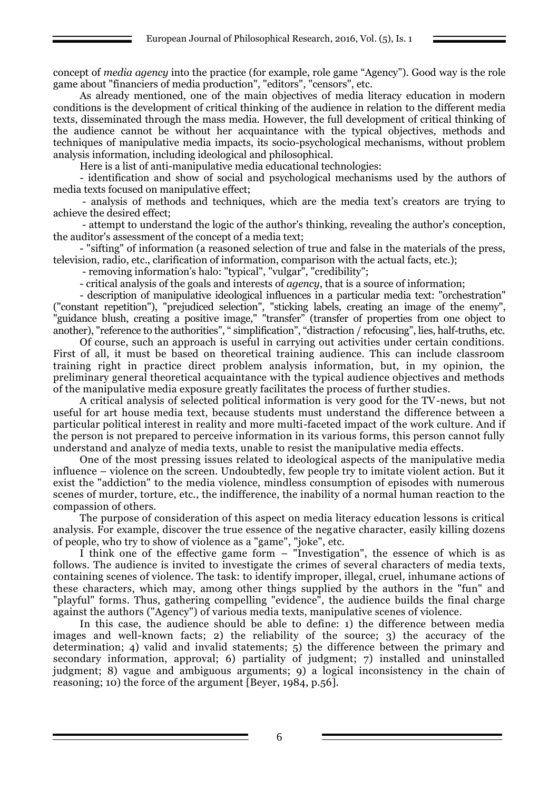concept of *media agency* into the practice (for example, role game "Agency"). Good way is the role game about "financiers of media production", "editors", "censors", etc.

As already mentioned, one of the main objectives of media literacy education in modern conditions is the development of critical thinking of the audience in relation to the different media texts, disseminated through the mass media. However, the full development of critical thinking of the audience cannot be without her acquaintance with the typical objectives, methods and techniques of manipulative media impacts, its socio-psychological mechanisms, without problem analysis information, including ideological and philosophical.

Here is a list of anti-manipulative media educational technologies:

- identification and show of social and psychological mechanisms used by the authors of media texts focused on manipulative effect;

- analysis of methods and techniques, which are the media text's creators are trying to achieve the desired effect;

- attempt to understand the logic of the author's thinking, revealing the author's conception, the auditor's assessment of the concept of a media text;

- "sifting" of information (a reasoned selection of true and false in the materials of the press, television, radio, etc., clarification of information, comparison with the actual facts, etc.);

- removing information's halo: "typical", "vulgar", "credibility";

- critical analysis of the goals and interests of *agency*, that is a source of information;

- description of manipulative ideological influences in a particular media text: "orchestration" ("constant repetition"), "prejudiced selection", "sticking labels, creating an image of the enemy", "guidance blush, creating a positive image," "transfer" (transfer of properties from one object to another), "reference to the authorities", " simplification", "distraction / refocusing", lies, half-truths, etc.

Of course, such an approach is useful in carrying out activities under certain conditions. First of all, it must be based on theoretical training audience. This can include classroom training right in practice direct problem analysis information, but, in my opinion, the preliminary general theoretical acquaintance with the typical audience objectives and methods of the manipulative media exposure greatly facilitates the process of further studies.

A critical analysis of selected political information is very good for the TV-news, but not useful for art house media text, because students must understand the difference between a particular political interest in reality and more multi-faceted impact of the work culture. And if the person is not prepared to perceive information in its various forms, this person cannot fully understand and analyze of media texts, unable to resist the manipulative media effects.

One of the most pressing issues related to ideological aspects of the manipulative media influence – violence on the screen. Undoubtedly, few people try to imitate violent action. But it exist the "addiction" to the media violence, mindless consumption of episodes with numerous scenes of murder, torture, etc., the indifference, the inability of a normal human reaction to the compassion of others.

The purpose of consideration of this aspect on media literacy education lessons is critical analysis. For example, discover the true essence of the negative character, easily killing dozens of people, who try to show of violence as a "game", "joke", etc.

I think one of the effective game form – "Investigation", the essence of which is as follows. The audience is invited to investigate the crimes of several characters of media texts, containing scenes of violence. The task: to identify improper, illegal, cruel, inhumane actions of these characters, which may, among other things supplied by the authors in the "fun" and "playful" forms. Thus, gathering compelling "evidence", the audience builds the final charge against the authors ("Agency") of various media texts, manipulative scenes of violence.

In this case, the audience should be able to define: 1) the difference between media images and well-known facts; 2) the reliability of the source; 3) the accuracy of the determination; 4) valid and invalid statements; 5) the difference between the primary and secondary information, approval; 6) partiality of judgment; 7) installed and uninstalled judgment; 8) vague and ambiguous arguments; 9) a logical inconsistency in the chain of reasoning; 10) the force of the argument [Beyer, 1984, p.56].

6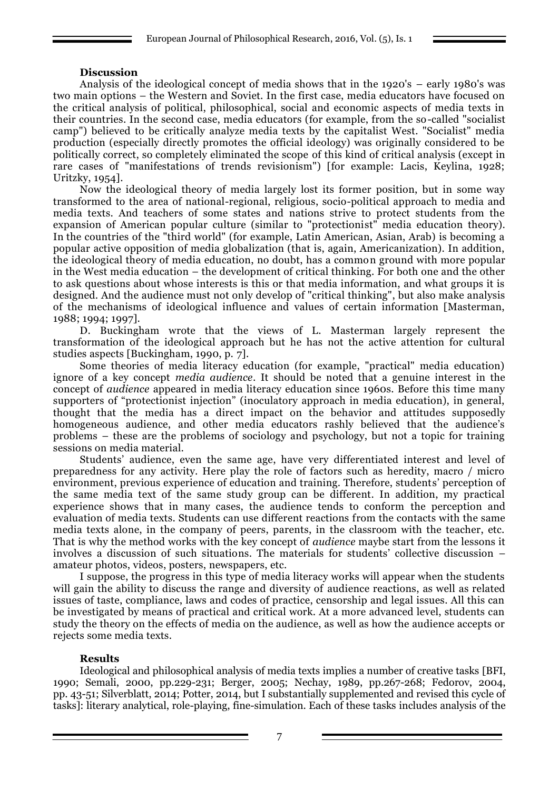#### **Discussion**

Analysis of the ideological concept of media shows that in the 1920's – early 1980's was two main options – the Western and Soviet. In the first case, media educators have focused on the critical analysis of political, philosophical, social and economic aspects of media texts in their countries. In the second case, media educators (for example, from the so-called "socialist camp") believed to be critically analyze media texts by the capitalist West. "Socialist" media production (especially directly promotes the official ideology) was originally considered to be politically correct, so completely eliminated the scope of this kind of critical analysis (except in rare cases of "manifestations of trends revisionism") [for example: Lacis, Keylina, 1928; Uritzky, 1954].

Now the ideological theory of media largely lost its former position, but in some way transformed to the area of national-regional, religious, socio-political approach to media and media texts. And teachers of some states and nations strive to protect students from the expansion of American popular culture (similar to "protectionist" media education theory). In the countries of the "third world" (for example, Latin American, Asian, Arab) is becoming a popular active opposition of media globalization (that is, again, Americanization). In addition, the ideological theory of media education, no doubt, has a common ground with more popular in the West media education – the development of critical thinking. For both one and the other to ask questions about whose interests is this or that media information, and what groups it is designed. And the audience must not only develop of "critical thinking", but also make analysis of the mechanisms of ideological influence and values of certain information [Masterman, 1988; 1994; 1997].

D. Buckingham wrote that the views of L. Masterman largely represent the transformation of the ideological approach but he has not the active attention for cultural studies aspects [Buckingham, 1990, p. 7].

Some theories of media literacy education (for example, "practical" media education) ignore of a key concept *media audience*. It should be noted that a genuine interest in the concept of *audience* appeared in media literacy education since 1960s. Before this time many supporters of "protectionist injection" (inoculatory approach in media education), in general, thought that the media has a direct impact on the behavior and attitudes supposedly homogeneous audience, and other media educators rashly believed that the audience's problems – these are the problems of sociology and psychology, but not a topic for training sessions on media material.

Students' audience, even the same age, have very differentiated interest and level of preparedness for any activity. Here play the role of factors such as heredity, macro / micro environment, previous experience of education and training. Therefore, students' perception of the same media text of the same study group can be different. In addition, my practical experience shows that in many cases, the audience tends to conform the perception and evaluation of media texts. Students can use different reactions from the contacts with the same media texts alone, in the company of peers, parents, in the classroom with the teacher, etc. That is why the method works with the key concept of *audience* maybe start from the lessons it involves a discussion of such situations. The materials for students' collective discussion – amateur photos, videos, posters, newspapers, etc.

I suppose, the progress in this type of media literacy works will appear when the students will gain the ability to discuss the range and diversity of audience reactions, as well as related issues of taste, compliance, laws and codes of practice, censorship and legal issues. All this can be investigated by means of practical and critical work. At a more advanced level, students can study the theory on the effects of media on the audience, as well as how the audience accepts or rejects some media texts.

### **Results**

Ideological and philosophical analysis of media texts implies a number of creative tasks [BFI, 1990; Semali, 2000, pp.229-231; Berger, 2005; Nechay, 1989, pp.267-268; Fedorov, 2004, pp. 43-51; Silverblatt, 2014; Potter, 2014, but I substantially supplemented and revised this cycle of tasks]: literary analytical, role-playing, fine-simulation. Each of these tasks includes analysis of the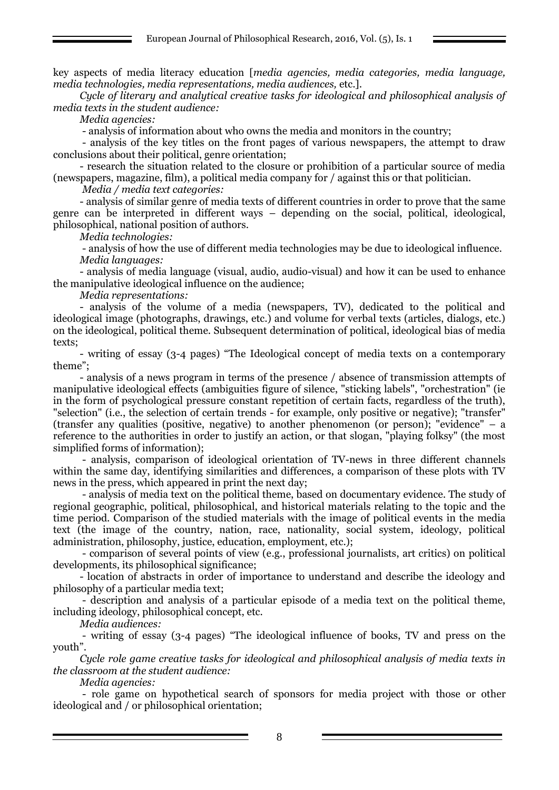key aspects of media literacy education [*media agencies, media categories, media language, media technologies, media representations, media audiences,* etc.].

*Cycle of literary and analytical creative tasks for ideological and philosophical analysis of media texts in the student audience:*

*Media agencies:*

- analysis of information about who owns the media and monitors in the country;

- analysis of the key titles on the front pages of various newspapers, the attempt to draw conclusions about their political, genre orientation;

- research the situation related to the closure or prohibition of a particular source of media (newspapers, magazine, film), a political media company for / against this or that politician.

*Media / media text categories:*

- analysis of similar genre of media texts of different countries in order to prove that the same genre can be interpreted in different ways – depending on the social, political, ideological, philosophical, national position of authors.

*Media technologies:*

- analysis of how the use of different media technologies may be due to ideological influence. *Media languages:*

- analysis of media language (visual, audio, audio-visual) and how it can be used to enhance the manipulative ideological influence on the audience;

*Media representations:*

- analysis of the volume of a media (newspapers, TV), dedicated to the political and ideological image (photographs, drawings, etc.) and volume for verbal texts (articles, dialogs, etc.) on the ideological, political theme. Subsequent determination of political, ideological bias of media texts;

- writing of essay (3-4 pages) "The Ideological concept of media texts on a contemporary theme";

- analysis of a news program in terms of the presence / absence of transmission attempts of manipulative ideological effects (ambiguities figure of silence, "sticking labels", "orchestration" (ie in the form of psychological pressure constant repetition of certain facts, regardless of the truth), "selection" (i.e., the selection of certain trends - for example, only positive or negative); "transfer" (transfer any qualities (positive, negative) to another phenomenon (or person); "evidence" – a reference to the authorities in order to justify an action, or that slogan, "playing folksy" (the most simplified forms of information);

- analysis, comparison of ideological orientation of TV-news in three different channels within the same day, identifying similarities and differences, a comparison of these plots with TV news in the press, which appeared in print the next day;

- analysis of media text on the political theme, based on documentary evidence. The study of regional geographic, political, philosophical, and historical materials relating to the topic and the time period. Comparison of the studied materials with the image of political events in the media text (the image of the country, nation, race, nationality, social system, ideology, political administration, philosophy, justice, education, employment, etc.);

- comparison of several points of view (e.g., professional journalists, art critics) on political developments, its philosophical significance;

- location of abstracts in order of importance to understand and describe the ideology and philosophy of a particular media text;

- description and analysis of a particular episode of a media text on the political theme, including ideology, philosophical concept, etc.

*Media audiences:*

- writing of essay (3-4 pages) "The ideological influence of books, TV and press on the youth".

*Cycle role game creative tasks for ideological and philosophical analysis of media texts in the classroom at the student audience:*

*Media agencies:*

- role game on hypothetical search of sponsors for media project with those or other ideological and / or philosophical orientation;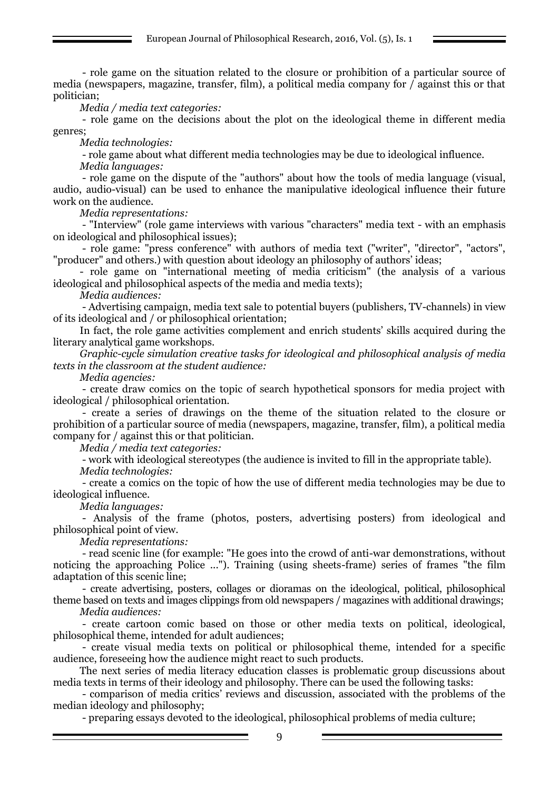- role game on the situation related to the closure or prohibition of a particular source of media (newspapers, magazine, transfer, film), a political media company for / against this or that politician;

*Media / media text categories:*

- role game on the decisions about the plot on the ideological theme in different media genres;

*Media technologies:*

- role game about what different media technologies may be due to ideological influence.

*Media languages:*

- role game on the dispute of the "authors" about how the tools of media language (visual, audio, audio-visual) can be used to enhance the manipulative ideological influence their future work on the audience.

*Media representations:*

- "Interview" (role game interviews with various "characters" media text - with an emphasis on ideological and philosophical issues);

- role game: "press conference" with authors of media text ("writer", "director", "actors", "producer" and others.) with question about ideology an philosophy of authors' ideas;

- role game on "international meeting of media criticism" (the analysis of a various ideological and philosophical aspects of the media and media texts);

*Media audiences:*

- Advertising campaign, media text sale to potential buyers (publishers, TV-channels) in view of its ideological and / or philosophical orientation;

In fact, the role game activities complement and enrich students' skills acquired during the literary analytical game workshops.

*Graphic-cycle simulation creative tasks for ideological and philosophical analysis of media texts in the classroom at the student audience:*

*Media agencies:* 

- create draw comics on the topic of search hypothetical sponsors for media project with ideological / philosophical orientation.

- create a series of drawings on the theme of the situation related to the closure or prohibition of a particular source of media (newspapers, magazine, transfer, film), a political media company for / against this or that politician.

*Media / media text categories:*

- work with ideological stereotypes (the audience is invited to fill in the appropriate table). *Media technologies:*

- create a comics on the topic of how the use of different media technologies may be due to ideological influence.

*Media languages:*

- Analysis of the frame (photos, posters, advertising posters) from ideological and philosophical point of view.

*Media representations:*

- read scenic line (for example: "He goes into the crowd of anti-war demonstrations, without noticing the approaching Police ..."). Training (using sheets-frame) series of frames "the film adaptation of this scenic line;

- create advertising, posters, collages or dioramas on the ideological, political, philosophical theme based on texts and images clippings from old newspapers / magazines with additional drawings;

*Media audiences:*

- create cartoon comic based on those or other media texts on political, ideological, philosophical theme, intended for adult audiences;

- create visual media texts on political or philosophical theme, intended for a specific audience, foreseeing how the audience might react to such products.

The next series of media literacy education classes is problematic group discussions about media texts in terms of their ideology and philosophy. There can be used the following tasks:

- comparison of media critics' reviews and discussion, associated with the problems of the median ideology and philosophy;

- preparing essays devoted to the ideological, philosophical problems of media culture;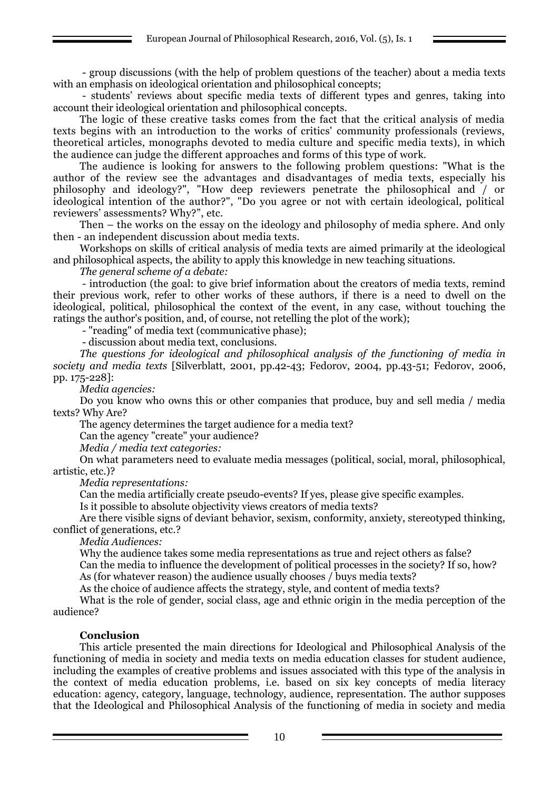- group discussions (with the help of problem questions of the teacher) about a media texts with an emphasis on ideological orientation and philosophical concepts;

- students' reviews about specific media texts of different types and genres, taking into account their ideological orientation and philosophical concepts.

The logic of these creative tasks comes from the fact that the critical analysis of media texts begins with an introduction to the works of critics' community professionals (reviews, theoretical articles, monographs devoted to media culture and specific media texts), in which the audience can judge the different approaches and forms of this type of work.

The audience is looking for answers to the following problem questions: "What is the author of the review see the advantages and disadvantages of media texts, especially his philosophy and ideology?", "How deep reviewers penetrate the philosophical and / or ideological intention of the author?", "Do you agree or not with certain ideological, political reviewers' assessments? Why?", etc.

Then – the works on the essay on the ideology and philosophy of media sphere. And only then - an independent discussion about media texts.

Workshops on skills of critical analysis of media texts are aimed primarily at the ideological and philosophical aspects, the ability to apply this knowledge in new teaching situations.

*The general scheme of a debate:*

- introduction (the goal: to give brief information about the creators of media texts, remind their previous work, refer to other works of these authors, if there is a need to dwell on the ideological, political, philosophical the context of the event, in any case, without touching the ratings the author's position, and, of course, not retelling the plot of the work);

- "reading" of media text (communicative phase);

- discussion about media text, conclusions.

*The questions for ideological and philosophical analysis of the functioning of media in society and media texts* [Silverblatt, 2001, pp.42-43; Fedorov, 2004, pp.43-51; Fedorov, 2006, pp. 175-228]:

*Media agencies:*

Do you know who owns this or other companies that produce, buy and sell media / media texts? Why Are?

The agency determines the target audience for a media text?

Can the agency "create" your audience?

*Media / media text categories:*

On what parameters need to evaluate media messages (political, social, moral, philosophical, artistic, etc.)?

*Media representations:*

Can the media artificially create pseudo-events? If yes, please give specific examples.

Is it possible to absolute objectivity views creators of media texts?

Are there visible signs of deviant behavior, sexism, conformity, anxiety, stereotyped thinking, conflict of generations, etc.?

*Media Audiences:*

Why the audience takes some media representations as true and reject others as false?

Can the media to influence the development of political processes in the society? If so, how? As (for whatever reason) the audience usually chooses / buys media texts?

As the choice of audience affects the strategy, style, and content of media texts?

What is the role of gender, social class, age and ethnic origin in the media perception of the audience?

### **Conclusion**

This article presented the main directions for Ideological and Philosophical Analysis of the functioning of media in society and media texts on media education classes for student audience, including the examples of creative problems and issues associated with this type of the analysis in the context of media education problems, i.e. based on six key concepts of media literacy education: agency, category, language, technology, audience, representation. The author supposes that the Ideological and Philosophical Analysis of the functioning of media in society and media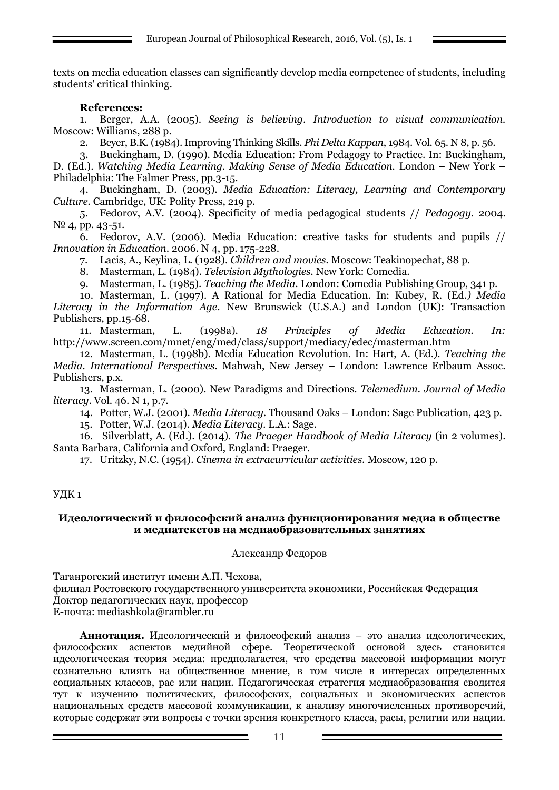European Journal of Philosophical Research, 2016, Vol. (5), Is. 1

texts on media education classes can significantly develop media competence of students, including students' critical thinking.

## **References:**

1. Berger, A.A. (2005). *Seeing is believing. Introduction to visual communication.* Moscow: Williams, 288 p.

2. Beyer, B.K. (1984). Improving Thinking Skills. *Phi Delta Kappan*, 1984. Vol. 65. N 8, p. 56.

3. Buckingham, D. (1990). Media Education: From Pedagogy to Practice. In: Buckingham, D. (Ed.). *Watching Media Learning. Making Sense of Media Education.* London – New York – Philadelphia: The Falmer Press, pp.3-15.

4. Buckingham, D. (2003). *Media Education: Literacy, Learning and Contemporary Culture.* Cambridge, UK: Polity Press, 219 p.

5. Fedorov, A.V. (2004). Specificity of media pedagogical students // *Pedagogy.* 2004. N<sup>o</sup> 4, pp. 43-51.

6. Fedorov, A.V. (2006). Media Education: creative tasks for students and pupils // *Innovation in Education*. 2006. N 4, pp. 175-228.

7. Lacis, A., Keylina, L. (1928). *Children and movies.* Moscow: Teakinopechat, 88 p.

8. Masterman, L. (1984). *Television Mythologies.* New York: Comedia.

9. Masterman, L. (1985). *Teaching the Media.* London: Comedia Publishing Group, 341 p.

10. Masterman, L. (1997). A Rational for Media Education. In: Kubey, R. (Ed*.) Media Literacy in the Information Age*. New Brunswick (U.S.A.) and London (UK): Transaction Publishers, pp.15-68.

11. Masterman, L. (1998a). *18 Principles of Media Education. In:*  <http://www.screen.com/mnet/eng/med/class/support/mediacy/edec/masterman.htm>

12. Masterman, L. (1998b). Media Education Revolution. In: Hart, A. (Ed.). *Teaching the Media. International Perspectives.* Mahwah, New Jersey – London: Lawrence Erlbaum Assoc. Publishers, p.x.

13. Masterman, L. (2000). New Paradigms and Directions. *Telemedium. Journal of Media literacy*. Vol. 46. N 1, p.7.

14. Potter, W.J. (2001). *Media Literacy.* Thousand Oaks – London: Sage Publication, 423 p.

15. Potter, W.J. (2014). *Media Literacy.* L.A.: Sage.

16. Silverblatt, A. (Ed.). (2014). *The Praeger Handbook of Media Literacy* (in 2 volumes). Santa Barbara, California and Oxford, England: Praeger.

17. Uritzky, N.C. (1954). *Cinema in extracurricular activities.* Moscow, 120 p.

### УДК 1

#### **Идеологический и философский анализ функционирования медиа в обществе и медиатекстов на медиаобразовательных занятиях**

### Александр Федоров

Таганрогский институт имени А.П. Чехова,

филиал Ростовского государственного университета экономики, Российская Федерация

Доктор педагогических наук, профессор

E-почта: mediashkola@rambler.ru

**Аннотация.** Идеологический и философский анализ – это анализ идеологических, философских аспектов медийной сфере. Теоретической основой здесь становится идеологическая теория медиа: предполагается, что средства массовой информации могут сознательно влиять на общественное мнение, в том числе в интересах определенных социальных классов, рас или нации. Педагогическая стратегия медиаобразования сводится тут к изучению политических, философских, социальных и экономических аспектов национальных средств массовой коммуникации, к анализу многочисленных противоречий, которые содержат эти вопросы с точки зрения конкретного класса, расы, религии или нации.